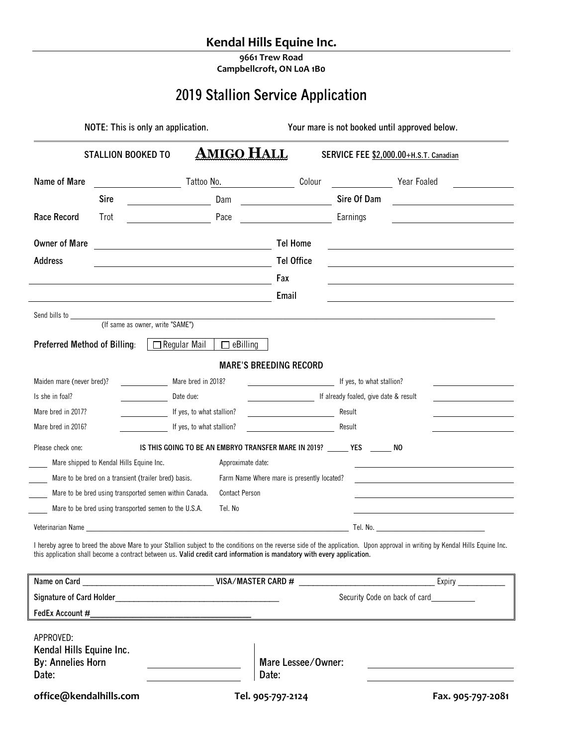# **Kendal Hills Equine Inc.**

**9661 Trew Road Campbellcroft, ON L0A 1B0**

# **2019 Stallion Service Application**

| NOTE: This is only an application.                                         |                                                                                                                         |                                                                      |                                            | Your mare is not booked until approved below.                            |                                                                                                                                                                                |  |
|----------------------------------------------------------------------------|-------------------------------------------------------------------------------------------------------------------------|----------------------------------------------------------------------|--------------------------------------------|--------------------------------------------------------------------------|--------------------------------------------------------------------------------------------------------------------------------------------------------------------------------|--|
|                                                                            | <b>STALLION BOOKED TO</b>                                                                                               | <b>AMIGO HALL</b>                                                    |                                            | SERVICE FEE \$2,000.00+H.S.T. Canadian                                   |                                                                                                                                                                                |  |
| Name of Mare                                                               |                                                                                                                         | Tattoo No.                                                           | Colour                                     |                                                                          | Year Foaled                                                                                                                                                                    |  |
|                                                                            | <b>Sire</b>                                                                                                             | Dam                                                                  |                                            | Sire Of Dam                                                              | <u> 1980 - Jan Samuel Barbara, politik eta politik eta politik eta politik eta politik eta politik eta politik e</u>                                                           |  |
| Race Record                                                                | Trot                                                                                                                    | Pace                                                                 |                                            | Earnings                                                                 |                                                                                                                                                                                |  |
| <b>Owner of Mare</b>                                                       |                                                                                                                         | <u> 1980 - Johann Barbara, martxa amerikan personal (h. 1980).</u>   | <b>Tel Home</b>                            |                                                                          | <u> 1989 - Johann Barn, mars ann an t-Amhain ann an t-Amhain an t-Amhain an t-Amhain an t-Amhain an t-Amhain an t-</u>                                                         |  |
| <b>Address</b>                                                             |                                                                                                                         |                                                                      | <b>Tel Office</b>                          |                                                                          |                                                                                                                                                                                |  |
|                                                                            |                                                                                                                         |                                                                      | Fax                                        |                                                                          |                                                                                                                                                                                |  |
|                                                                            |                                                                                                                         |                                                                      | Email                                      |                                                                          |                                                                                                                                                                                |  |
|                                                                            |                                                                                                                         |                                                                      |                                            |                                                                          |                                                                                                                                                                                |  |
|                                                                            |                                                                                                                         |                                                                      |                                            |                                                                          |                                                                                                                                                                                |  |
| Preferred Method of Billing:                                               |                                                                                                                         | $\Box$ Regular Mail<br>$\Box$ eBilling                               |                                            |                                                                          |                                                                                                                                                                                |  |
|                                                                            |                                                                                                                         |                                                                      | <b>MARE'S BREEDING RECORD</b>              |                                                                          |                                                                                                                                                                                |  |
| Maiden mare (never bred)?                                                  |                                                                                                                         | Mare bred in 2018?                                                   |                                            | If yes, to what stallion?                                                |                                                                                                                                                                                |  |
| Is she in foal?                                                            |                                                                                                                         | Date due:                                                            | If already foaled, give date & result      |                                                                          |                                                                                                                                                                                |  |
| Mare bred in 2017?                                                         |                                                                                                                         | If yes, to what stallion?<br><u> 1980 - Johann Barbara, martin a</u> |                                            | Result                                                                   |                                                                                                                                                                                |  |
| Mare bred in 2016?                                                         |                                                                                                                         | If yes, to what stallion?                                            | <u> 1990 - Johann Barbara, martin a</u>    | Result                                                                   |                                                                                                                                                                                |  |
| Please check one:                                                          |                                                                                                                         |                                                                      |                                            | IS THIS GOING TO BE AN EMBRYO TRANSFER MARE IN 2019? _____ YES ______ NO |                                                                                                                                                                                |  |
|                                                                            | Mare shipped to Kendal Hills Equine Inc.                                                                                | Approximate date:                                                    |                                            |                                                                          |                                                                                                                                                                                |  |
|                                                                            | Mare to be bred on a transient (trailer bred) basis.                                                                    |                                                                      | Farm Name Where mare is presently located? |                                                                          |                                                                                                                                                                                |  |
|                                                                            | Mare to be bred using transported semen within Canada.                                                                  | <b>Contact Person</b>                                                |                                            |                                                                          |                                                                                                                                                                                |  |
|                                                                            | Mare to be bred using transported semen to the U.S.A.                                                                   | Tel. No                                                              |                                            |                                                                          |                                                                                                                                                                                |  |
|                                                                            |                                                                                                                         |                                                                      |                                            |                                                                          |                                                                                                                                                                                |  |
|                                                                            | this application shall become a contract between us. Valid credit card information is mandatory with every application. |                                                                      |                                            |                                                                          | I hereby agree to breed the above Mare to your Stallion subject to the conditions on the reverse side of the application. Upon approval in writing by Kendal Hills Equine Inc. |  |
|                                                                            |                                                                                                                         |                                                                      |                                            |                                                                          |                                                                                                                                                                                |  |
|                                                                            |                                                                                                                         |                                                                      |                                            | Security Code on back of card___________                                 |                                                                                                                                                                                |  |
|                                                                            |                                                                                                                         |                                                                      |                                            |                                                                          |                                                                                                                                                                                |  |
| APPROVED:<br>Kendal Hills Equine Inc.<br><b>By: Annelies Horn</b><br>Date: |                                                                                                                         |                                                                      | Mare Lessee/Owner:<br>Date:                |                                                                          |                                                                                                                                                                                |  |
| office@kendalhills.com                                                     |                                                                                                                         |                                                                      | Tel. 905-797-2124                          |                                                                          | Fax. 905-797-2081                                                                                                                                                              |  |